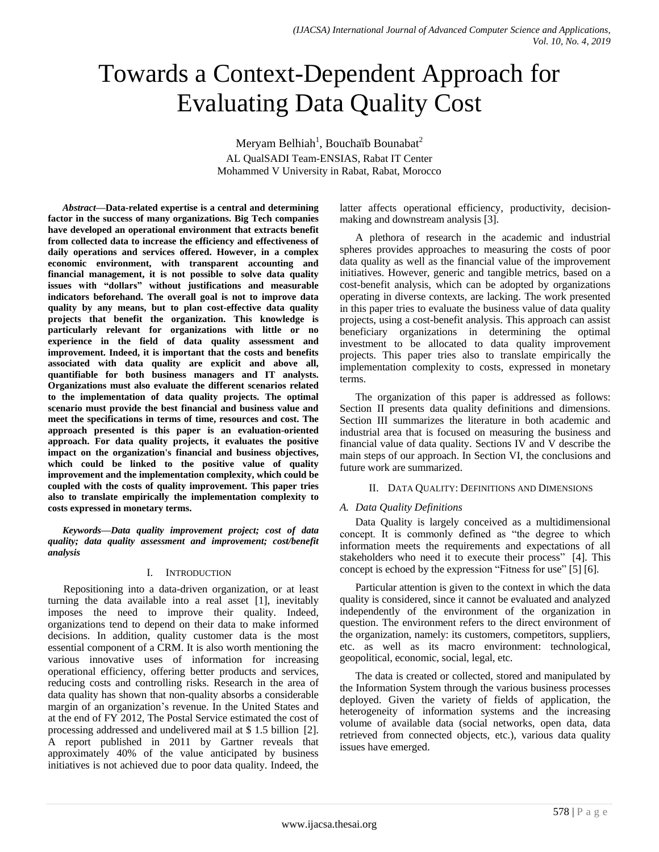# Towards a Context-Dependent Approach for Evaluating Data Quality Cost

Meryam Belhiah $^1$ , Bouchaïb Bounabat $^2$ AL QualSADI Team-ENSIAS, Rabat IT Center Mohammed V University in Rabat, Rabat, Morocco

*Abstract***—Data-related expertise is a central and determining factor in the success of many organizations. Big Tech companies have developed an operational environment that extracts benefit from collected data to increase the efficiency and effectiveness of daily operations and services offered. However, in a complex economic environment, with transparent accounting and financial management, it is not possible to solve data quality issues with "dollars" without justifications and measurable indicators beforehand. The overall goal is not to improve data quality by any means, but to plan cost-effective data quality projects that benefit the organization. This knowledge is particularly relevant for organizations with little or no experience in the field of data quality assessment and improvement. Indeed, it is important that the costs and benefits associated with data quality are explicit and above all, quantifiable for both business managers and IT analysts. Organizations must also evaluate the different scenarios related to the implementation of data quality projects. The optimal scenario must provide the best financial and business value and meet the specifications in terms of time, resources and cost. The approach presented is this paper is an evaluation-oriented approach. For data quality projects, it evaluates the positive impact on the organization's financial and business objectives, which could be linked to the positive value of quality improvement and the implementation complexity, which could be coupled with the costs of quality improvement. This paper tries also to translate empirically the implementation complexity to costs expressed in monetary terms.**

*Keywords—Data quality improvement project; cost of data quality; data quality assessment and improvement; cost/benefit analysis*

#### I. INTRODUCTION

Repositioning into a data-driven organization, or at least turning the data available into a real asset [1], inevitably imposes the need to improve their quality. Indeed, organizations tend to depend on their data to make informed decisions. In addition, quality customer data is the most essential component of a CRM. It is also worth mentioning the various innovative uses of information for increasing operational efficiency, offering better products and services, reducing costs and controlling risks. Research in the area of data quality has shown that non-quality absorbs a considerable margin of an organization's revenue. In the United States and at the end of FY 2012, The Postal Service estimated the cost of processing addressed and undelivered mail at \$ 1.5 billion [2]. A report published in 2011 by Gartner reveals that approximately 40% of the value anticipated by business initiatives is not achieved due to poor data quality. Indeed, the latter affects operational efficiency, productivity, decisionmaking and downstream analysis [3].

A plethora of research in the academic and industrial spheres provides approaches to measuring the costs of poor data quality as well as the financial value of the improvement initiatives. However, generic and tangible metrics, based on a cost-benefit analysis, which can be adopted by organizations operating in diverse contexts, are lacking. The work presented in this paper tries to evaluate the business value of data quality projects, using a cost-benefit analysis. This approach can assist beneficiary organizations in determining the optimal investment to be allocated to data quality improvement projects. This paper tries also to translate empirically the implementation complexity to costs, expressed in monetary terms.

The organization of this paper is addressed as follows: Section II presents data quality definitions and dimensions. Section III summarizes the literature in both academic and industrial area that is focused on measuring the business and financial value of data quality. Sections IV and V describe the main steps of our approach. In Section VI, the conclusions and future work are summarized.

#### II. DATA QUALITY: DEFINITIONS AND DIMENSIONS

#### *A. Data Quality Definitions*

Data Quality is largely conceived as a multidimensional concept. It is commonly defined as "the degree to which information meets the requirements and expectations of all stakeholders who need it to execute their process" [4]. This concept is echoed by the expression "Fitness for use" [5] [6].

Particular attention is given to the context in which the data quality is considered, since it cannot be evaluated and analyzed independently of the environment of the organization in question. The environment refers to the direct environment of the organization, namely: its customers, competitors, suppliers, etc. as well as its macro environment: technological, geopolitical, economic, social, legal, etc.

The data is created or collected, stored and manipulated by the Information System through the various business processes deployed. Given the variety of fields of application, the heterogeneity of information systems and the increasing volume of available data (social networks, open data, data retrieved from connected objects, etc.), various data quality issues have emerged.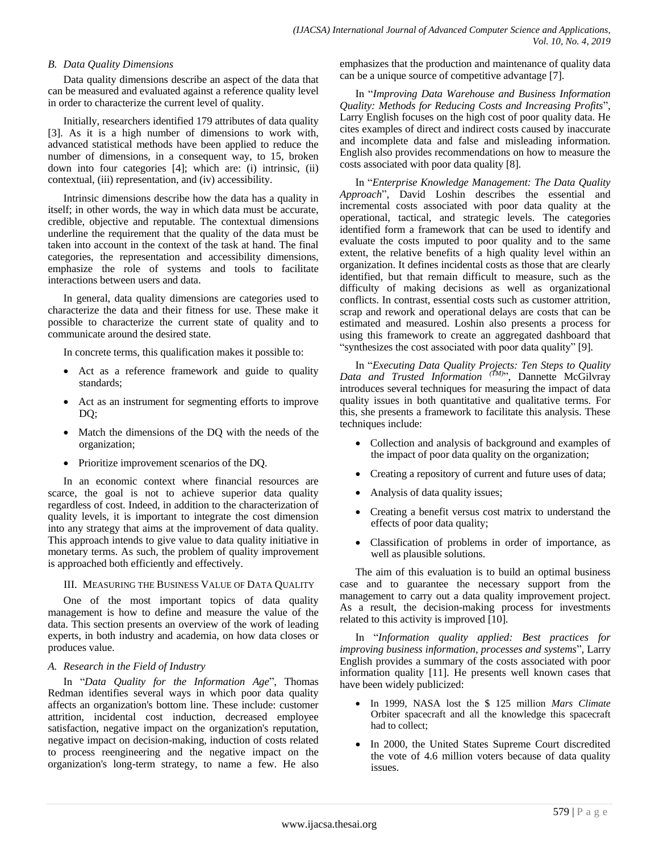# *B. Data Quality Dimensions*

Data quality dimensions describe an aspect of the data that can be measured and evaluated against a reference quality level in order to characterize the current level of quality.

Initially, researchers identified 179 attributes of data quality [3]. As it is a high number of dimensions to work with, advanced statistical methods have been applied to reduce the number of dimensions, in a consequent way, to 15, broken down into four categories [4]; which are: (i) intrinsic, (ii) contextual, (iii) representation, and (iv) accessibility.

Intrinsic dimensions describe how the data has a quality in itself; in other words, the way in which data must be accurate, credible, objective and reputable. The contextual dimensions underline the requirement that the quality of the data must be taken into account in the context of the task at hand. The final categories, the representation and accessibility dimensions, emphasize the role of systems and tools to facilitate interactions between users and data.

In general, data quality dimensions are categories used to characterize the data and their fitness for use. These make it possible to characterize the current state of quality and to communicate around the desired state.

In concrete terms, this qualification makes it possible to:

- Act as a reference framework and guide to quality standards;
- Act as an instrument for segmenting efforts to improve DQ;
- Match the dimensions of the DQ with the needs of the organization;
- Prioritize improvement scenarios of the DQ.

In an economic context where financial resources are scarce, the goal is not to achieve superior data quality regardless of cost. Indeed, in addition to the characterization of quality levels, it is important to integrate the cost dimension into any strategy that aims at the improvement of data quality. This approach intends to give value to data quality initiative in monetary terms. As such, the problem of quality improvement is approached both efficiently and effectively.

III. MEASURING THE BUSINESS VALUE OF DATA QUALITY

One of the most important topics of data quality management is how to define and measure the value of the data. This section presents an overview of the work of leading experts, in both industry and academia, on how data closes or produces value.

#### *A. Research in the Field of Industry*

In "*Data Quality for the Information Age*", Thomas Redman identifies several ways in which poor data quality affects an organization's bottom line. These include: customer attrition, incidental cost induction, decreased employee satisfaction, negative impact on the organization's reputation, negative impact on decision-making, induction of costs related to process reengineering and the negative impact on the organization's long-term strategy, to name a few. He also emphasizes that the production and maintenance of quality data can be a unique source of competitive advantage [7].

In "*Improving Data Warehouse and Business Information Quality: Methods for Reducing Costs and Increasing Profits*", Larry English focuses on the high cost of poor quality data. He cites examples of direct and indirect costs caused by inaccurate and incomplete data and false and misleading information. English also provides recommendations on how to measure the costs associated with poor data quality [8].

In "*Enterprise Knowledge Management: The Data Quality Approach*", David Loshin describes the essential and incremental costs associated with poor data quality at the operational, tactical, and strategic levels. The categories identified form a framework that can be used to identify and evaluate the costs imputed to poor quality and to the same extent, the relative benefits of a high quality level within an organization. It defines incidental costs as those that are clearly identified, but that remain difficult to measure, such as the difficulty of making decisions as well as organizational conflicts. In contrast, essential costs such as customer attrition, scrap and rework and operational delays are costs that can be estimated and measured. Loshin also presents a process for using this framework to create an aggregated dashboard that "synthesizes the cost associated with poor data quality" [9].

In "*Executing Data Quality Projects: Ten Steps to Quality Data and Trusted Information (TM)*", Dannette McGilvray introduces several techniques for measuring the impact of data quality issues in both quantitative and qualitative terms. For this, she presents a framework to facilitate this analysis. These techniques include:

- Collection and analysis of background and examples of the impact of poor data quality on the organization;
- Creating a repository of current and future uses of data;
- Analysis of data quality issues;
- Creating a benefit versus cost matrix to understand the effects of poor data quality;
- Classification of problems in order of importance, as well as plausible solutions.

The aim of this evaluation is to build an optimal business case and to guarantee the necessary support from the management to carry out a data quality improvement project. As a result, the decision-making process for investments related to this activity is improved [10].

In "*Information quality applied: Best practices for improving business information, processes and systems*", Larry English provides a summary of the costs associated with poor information quality [11]. He presents well known cases that have been widely publicized:

- In 1999, NASA lost the \$ 125 million *Mars Climate*  Orbiter spacecraft and all the knowledge this spacecraft had to collect;
- In 2000, the United States Supreme Court discredited the vote of 4.6 million voters because of data quality issues.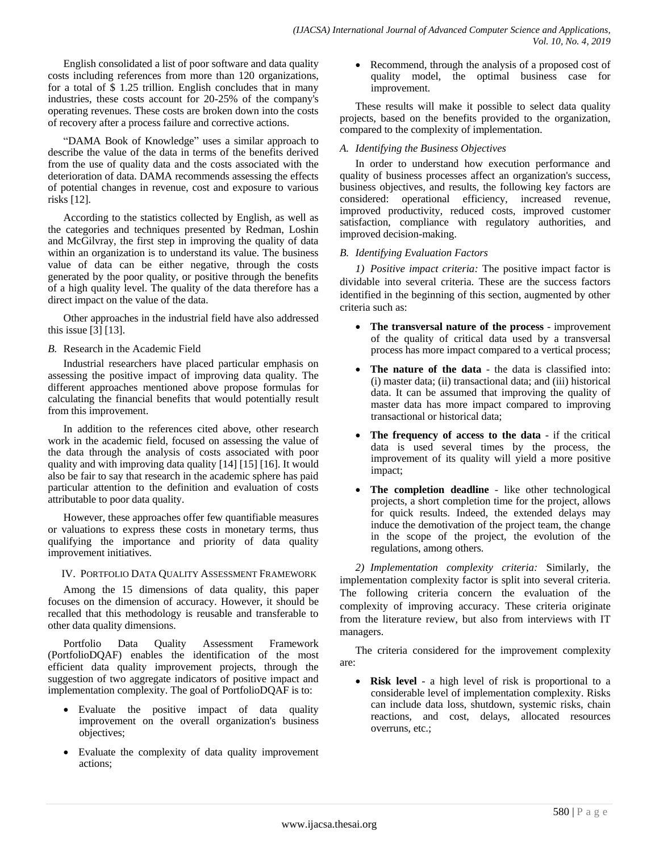English consolidated a list of poor software and data quality costs including references from more than 120 organizations, for a total of \$ 1.25 trillion. English concludes that in many industries, these costs account for 20-25% of the company's operating revenues. These costs are broken down into the costs of recovery after a process failure and corrective actions.

"DAMA Book of Knowledge" uses a similar approach to describe the value of the data in terms of the benefits derived from the use of quality data and the costs associated with the deterioration of data. DAMA recommends assessing the effects of potential changes in revenue, cost and exposure to various risks [12].

According to the statistics collected by English, as well as the categories and techniques presented by Redman, Loshin and McGilvray, the first step in improving the quality of data within an organization is to understand its value. The business value of data can be either negative, through the costs generated by the poor quality, or positive through the benefits of a high quality level. The quality of the data therefore has a direct impact on the value of the data.

Other approaches in the industrial field have also addressed this issue [3] [13].

# *B.* Research in the Academic Field

Industrial researchers have placed particular emphasis on assessing the positive impact of improving data quality. The different approaches mentioned above propose formulas for calculating the financial benefits that would potentially result from this improvement.

In addition to the references cited above, other research work in the academic field, focused on assessing the value of the data through the analysis of costs associated with poor quality and with improving data quality [14] [15] [16]. It would also be fair to say that research in the academic sphere has paid particular attention to the definition and evaluation of costs attributable to poor data quality.

However, these approaches offer few quantifiable measures or valuations to express these costs in monetary terms, thus qualifying the importance and priority of data quality improvement initiatives.

# IV. PORTFOLIO DATA QUALITY ASSESSMENT FRAMEWORK

Among the 15 dimensions of data quality, this paper focuses on the dimension of accuracy. However, it should be recalled that this methodology is reusable and transferable to other data quality dimensions.

Portfolio Data Quality Assessment Framework (PortfolioDQAF) enables the identification of the most efficient data quality improvement projects, through the suggestion of two aggregate indicators of positive impact and implementation complexity. The goal of PortfolioDQAF is to:

- Evaluate the positive impact of data quality improvement on the overall organization's business objectives;
- Evaluate the complexity of data quality improvement actions;

• Recommend, through the analysis of a proposed cost of quality model, the optimal business case for improvement.

These results will make it possible to select data quality projects, based on the benefits provided to the organization, compared to the complexity of implementation.

# *A. Identifying the Business Objectives*

In order to understand how execution performance and quality of business processes affect an organization's success, business objectives, and results, the following key factors are considered: operational efficiency, increased revenue, improved productivity, reduced costs, improved customer satisfaction, compliance with regulatory authorities, and improved decision-making.

### *B. Identifying Evaluation Factors*

*1) Positive impact criteria:* The positive impact factor is dividable into several criteria. These are the success factors identified in the beginning of this section, augmented by other criteria such as:

- **The transversal nature of the process** improvement of the quality of critical data used by a transversal process has more impact compared to a vertical process;
- **The nature of the data** the data is classified into: (i) master data; (ii) transactional data; and (iii) historical data. It can be assumed that improving the quality of master data has more impact compared to improving transactional or historical data;
- **The frequency of access to the data** if the critical data is used several times by the process, the improvement of its quality will yield a more positive impact;
- **The completion deadline** like other technological projects, a short completion time for the project, allows for quick results. Indeed, the extended delays may induce the demotivation of the project team, the change in the scope of the project, the evolution of the regulations, among others.

*2) Implementation complexity criteria:* Similarly, the implementation complexity factor is split into several criteria. The following criteria concern the evaluation of the complexity of improving accuracy. These criteria originate from the literature review, but also from interviews with IT managers.

The criteria considered for the improvement complexity are:

 **Risk level** - a high level of risk is proportional to a considerable level of implementation complexity. Risks can include data loss, shutdown, systemic risks, chain reactions, and cost, delays, allocated resources overruns, etc.;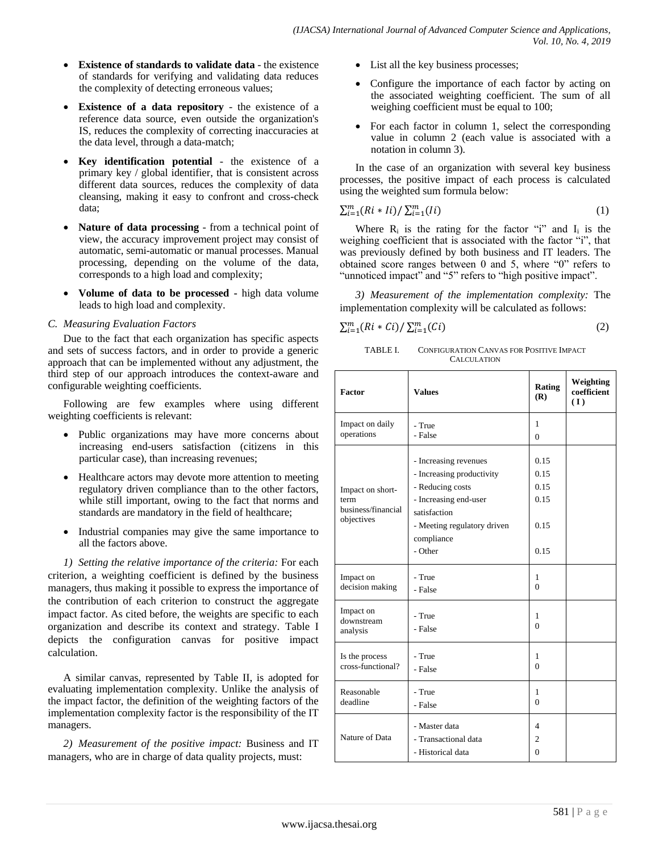- **Existence of standards to validate data** the existence of standards for verifying and validating data reduces the complexity of detecting erroneous values;
- **Existence of a data repository** the existence of a reference data source, even outside the organization's IS, reduces the complexity of correcting inaccuracies at the data level, through a data-match;
- **Key identification potential** the existence of a primary key / global identifier, that is consistent across different data sources, reduces the complexity of data cleansing, making it easy to confront and cross-check data;
- **Nature of data processing** from a technical point of view, the accuracy improvement project may consist of automatic, semi-automatic or manual processes. Manual processing, depending on the volume of the data, corresponds to a high load and complexity;
- **Volume of data to be processed -** high data volume leads to high load and complexity.

### *C. Measuring Evaluation Factors*

Due to the fact that each organization has specific aspects and sets of success factors, and in order to provide a generic approach that can be implemented without any adjustment, the third step of our approach introduces the context-aware and configurable weighting coefficients.

Following are few examples where using different weighting coefficients is relevant:

- Public organizations may have more concerns about increasing end-users satisfaction (citizens in this particular case), than increasing revenues;
- Healthcare actors may devote more attention to meeting regulatory driven compliance than to the other factors, while still important, owing to the fact that norms and standards are mandatory in the field of healthcare;
- Industrial companies may give the same importance to all the factors above.

*1) Setting the relative importance of the criteria:* For each criterion, a weighting coefficient is defined by the business managers, thus making it possible to express the importance of the contribution of each criterion to construct the aggregate impact factor. As cited before, the weights are specific to each organization and describe its context and strategy. Table I depicts the configuration canvas for positive impact calculation.

A similar canvas, represented by Table II, is adopted for evaluating implementation complexity. Unlike the analysis of the impact factor, the definition of the weighting factors of the implementation complexity factor is the responsibility of the IT managers.

*2) Measurement of the positive impact:* Business and IT managers, who are in charge of data quality projects, must:

- List all the key business processes;
- Configure the importance of each factor by acting on the associated weighting coefficient. The sum of all weighing coefficient must be equal to 100;
- For each factor in column 1, select the corresponding value in column 2 (each value is associated with a notation in column 3).

In the case of an organization with several key business processes, the positive impact of each process is calculated using the weighted sum formula below:

$$
\sum_{i=1}^{m} (Ri * Ii) / \sum_{i=1}^{m} (Ii)
$$
 (1)

Where  $R_i$  is the rating for the factor "i" and  $I_i$  is the weighing coefficient that is associated with the factor "i", that was previously defined by both business and IT leaders. The obtained score ranges between 0 and 5, where "0" refers to "unnoticed impact" and "5" refers to "high positive impact".

*3) Measurement of the implementation complexity:* The implementation complexity will be calculated as follows:

$$
\sum_{i=1}^{m} (Ri * Ci) / \sum_{i=1}^{m} (Ci)
$$
 (2)

TABLE I. CONFIGURATION CANVAS FOR POSITIVE IMPACT **CALCULATION** 

| Factor                                                       | <b>Values</b>                                                                                                                                                           | Rating<br>(R)                                | Weighting<br>coefficient<br>(I) |
|--------------------------------------------------------------|-------------------------------------------------------------------------------------------------------------------------------------------------------------------------|----------------------------------------------|---------------------------------|
| Impact on daily                                              | - True                                                                                                                                                                  | 1                                            |                                 |
| operations                                                   | - False                                                                                                                                                                 | 0                                            |                                 |
| Impact on short-<br>term<br>business/financial<br>objectives | - Increasing revenues<br>- Increasing productivity<br>- Reducing costs<br>- Increasing end-user<br>satisfaction<br>- Meeting regulatory driven<br>compliance<br>- Other | 0.15<br>0.15<br>0.15<br>0.15<br>0.15<br>0.15 |                                 |
| Impact on                                                    | - True                                                                                                                                                                  | 1                                            |                                 |
| decision making                                              | - False                                                                                                                                                                 | $\Omega$                                     |                                 |
| Impact on<br>downstream<br>analysis                          | - True<br>- False                                                                                                                                                       | 1<br>$\Omega$                                |                                 |
| Is the process                                               | - True                                                                                                                                                                  | 1                                            |                                 |
| cross-functional?                                            | - False                                                                                                                                                                 | $\Omega$                                     |                                 |
| Reasonable                                                   | - True                                                                                                                                                                  | 1                                            |                                 |
| deadline                                                     | - False                                                                                                                                                                 | $\Omega$                                     |                                 |
| Nature of Data                                               | - Master data<br>- Transactional data<br>- Historical data                                                                                                              | 4<br>2<br>$\Omega$                           |                                 |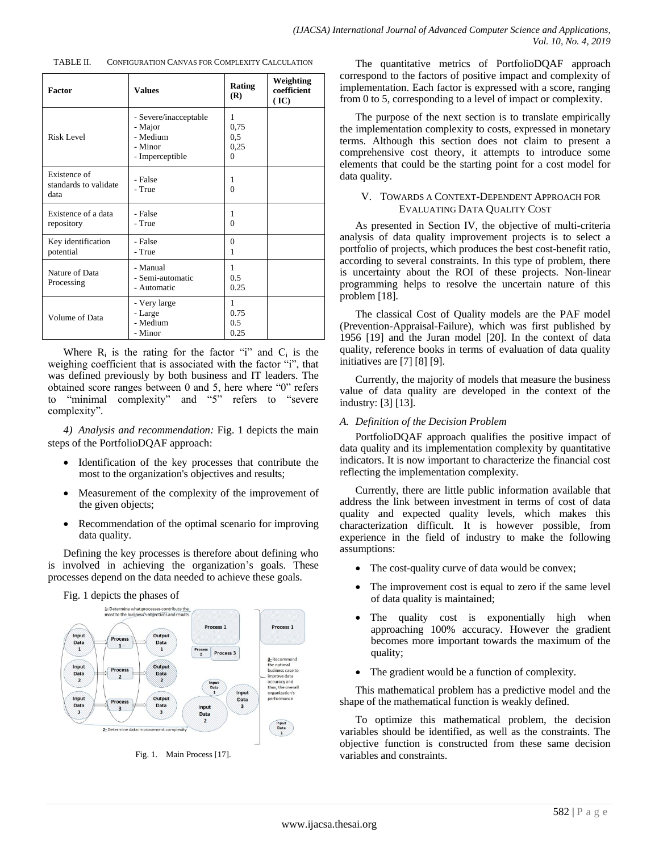| CONFIGURATION CANVAS FOR COMPLEXITY CALCULATION<br>TABLE II. |  |
|--------------------------------------------------------------|--|
|--------------------------------------------------------------|--|

| Factor                                        | <b>Values</b>                                                              | Rating<br>(R)                        | Weighting<br>coefficient<br>(IC) |
|-----------------------------------------------|----------------------------------------------------------------------------|--------------------------------------|----------------------------------|
| Risk Level                                    | - Severe/inacceptable<br>- Major<br>- Medium<br>- Minor<br>- Imperceptible | 1<br>0.75<br>0,5<br>0,25<br>$\Omega$ |                                  |
| Existence of<br>standards to validate<br>data | - False<br>- True                                                          | 1<br>$\Omega$                        |                                  |
| Existence of a data<br>repository             | - False<br>- True                                                          | 1<br>$\Omega$                        |                                  |
| Key identification<br>potential               | - False<br>- True                                                          | $\theta$<br>1                        |                                  |
| Nature of Data<br>Processing                  | - Manual<br>- Semi-automatic<br>- Automatic                                | 1<br>0.5<br>0.25                     |                                  |
| Volume of Data                                | - Very large<br>- Large<br>- Medium<br>- Minor                             | 1<br>0.75<br>0.5<br>0.25             |                                  |

Where  $R_i$  is the rating for the factor "i" and  $C_i$  is the weighing coefficient that is associated with the factor "i", that was defined previously by both business and IT leaders. The obtained score ranges between 0 and 5, here where "0" refers to "minimal complexity" and "5" refers to "severe complexity".

*4) Analysis and recommendation:* Fig. 1 depicts the main steps of the PortfolioDQAF approach:

- Identification of the key processes that contribute the most to the organization's objectives and results;
- Measurement of the complexity of the improvement of the given objects;
- Recommendation of the optimal scenario for improving data quality.

Defining the key processes is therefore about defining who is involved in achieving the organization's goals. These processes depend on the data needed to achieve these goals.



Fig. 1. Main Process [17].

The quantitative metrics of PortfolioDQAF approach correspond to the factors of positive impact and complexity of implementation. Each factor is expressed with a score, ranging from 0 to 5, corresponding to a level of impact or complexity.

The purpose of the next section is to translate empirically the implementation complexity to costs, expressed in monetary terms. Although this section does not claim to present a comprehensive cost theory, it attempts to introduce some elements that could be the starting point for a cost model for data quality.

#### V. TOWARDS A CONTEXT-DEPENDENT APPROACH FOR EVALUATING DATA QUALITY COST

As presented in Section IV, the objective of multi-criteria analysis of data quality improvement projects is to select a portfolio of projects, which produces the best cost-benefit ratio, according to several constraints. In this type of problem, there is uncertainty about the ROI of these projects. Non-linear programming helps to resolve the uncertain nature of this problem [18].

The classical Cost of Quality models are the PAF model (Prevention-Appraisal-Failure), which was first published by 1956 [19] and the Juran model [20]. In the context of data quality, reference books in terms of evaluation of data quality initiatives are [7] [8] [9].

Currently, the majority of models that measure the business value of data quality are developed in the context of the industry: [3] [13].

#### *A. Definition of the Decision Problem*

PortfolioDQAF approach qualifies the positive impact of data quality and its implementation complexity by quantitative indicators. It is now important to characterize the financial cost reflecting the implementation complexity.

Currently, there are little public information available that address the link between investment in terms of cost of data quality and expected quality levels, which makes this characterization difficult. It is however possible, from experience in the field of industry to make the following assumptions:

- The cost-quality curve of data would be convex;
- The improvement cost is equal to zero if the same level of data quality is maintained;
- The quality cost is exponentially high when approaching 100% accuracy. However the gradient becomes more important towards the maximum of the quality;
- The gradient would be a function of complexity.

This mathematical problem has a predictive model and the shape of the mathematical function is weakly defined.

To optimize this mathematical problem, the decision variables should be identified, as well as the constraints. The objective function is constructed from these same decision variables and constraints.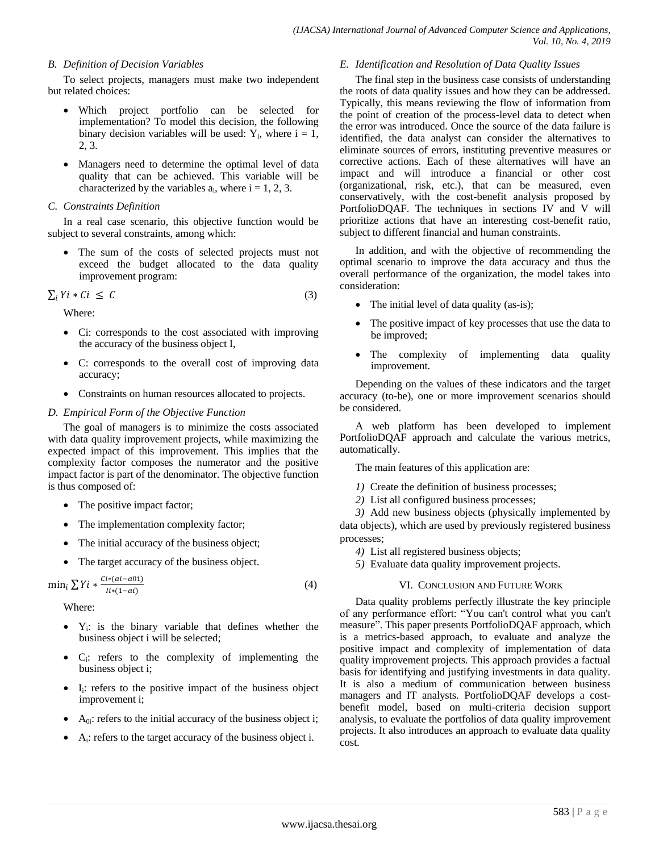#### *B. Definition of Decision Variables*

To select projects, managers must make two independent but related choices:

- Which project portfolio can be selected for implementation? To model this decision, the following binary decision variables will be used:  $Y_i$ , where  $i = 1$ , 2, 3.
- Managers need to determine the optimal level of data quality that can be achieved. This variable will be characterized by the variables  $a_i$ , where  $i = 1, 2, 3$ .

### *C. Constraints Definition*

In a real case scenario, this objective function would be subject to several constraints, among which:

• The sum of the costs of selected projects must not exceed the budget allocated to the data quality improvement program:

$$
\sum_{i} Y i * Ci \leq C \tag{3}
$$

Where:

- Ci: corresponds to the cost associated with improving the accuracy of the business object I,
- C: corresponds to the overall cost of improving data accuracy;
- Constraints on human resources allocated to projects.

# *D. Empirical Form of the Objective Function*

The goal of managers is to minimize the costs associated with data quality improvement projects, while maximizing the expected impact of this improvement. This implies that the complexity factor composes the numerator and the positive impact factor is part of the denominator. The objective function is thus composed of:

- The positive impact factor;
- The implementation complexity factor;
- The initial accuracy of the business object;
- The target accuracy of the business object.

```
\min_i \sum Y_i * \frac{Ci*(ai-a)1}{i!(a-a)}I
                                                                                                          (4)
```
Where:

- $\bullet$  Y<sub>i</sub>: is the binary variable that defines whether the business object i will be selected;
- C<sup>i</sup> : refers to the complexity of implementing the business object i;
- $\bullet$  I<sub>i</sub>: refers to the positive impact of the business object improvement i;
- $\bullet$  A<sub>0i</sub>: refers to the initial accuracy of the business object i;
- A<sub>i</sub>: refers to the target accuracy of the business object i.

# *E. Identification and Resolution of Data Quality Issues*

The final step in the business case consists of understanding the roots of data quality issues and how they can be addressed. Typically, this means reviewing the flow of information from the point of creation of the process-level data to detect when the error was introduced. Once the source of the data failure is identified, the data analyst can consider the alternatives to eliminate sources of errors, instituting preventive measures or corrective actions. Each of these alternatives will have an impact and will introduce a financial or other cost (organizational, risk, etc.), that can be measured, even conservatively, with the cost-benefit analysis proposed by PortfolioDQAF. The techniques in sections IV and V will prioritize actions that have an interesting cost-benefit ratio, subject to different financial and human constraints.

In addition, and with the objective of recommending the optimal scenario to improve the data accuracy and thus the overall performance of the organization, the model takes into consideration:

- The initial level of data quality (as-is);
- The positive impact of key processes that use the data to be improved;
- The complexity of implementing data quality improvement.

Depending on the values of these indicators and the target accuracy (to-be), one or more improvement scenarios should be considered.

A web platform has been developed to implement PortfolioDQAF approach and calculate the various metrics, automatically.

The main features of this application are:

- *1)* Create the definition of business processes;
- *2)* List all configured business processes;

*3)* Add new business objects (physically implemented by data objects), which are used by previously registered business processes;

- *4)* List all registered business objects;
- *5)* Evaluate data quality improvement projects.

# VI. CONCLUSION AND FUTURE WORK

Data quality problems perfectly illustrate the key principle of any performance effort: "You can't control what you can't measure". This paper presents PortfolioDQAF approach, which is a metrics-based approach, to evaluate and analyze the positive impact and complexity of implementation of data quality improvement projects. This approach provides a factual basis for identifying and justifying investments in data quality. It is also a medium of communication between business managers and IT analysts. PortfolioDQAF develops a costbenefit model, based on multi-criteria decision support analysis, to evaluate the portfolios of data quality improvement projects. It also introduces an approach to evaluate data quality cost.